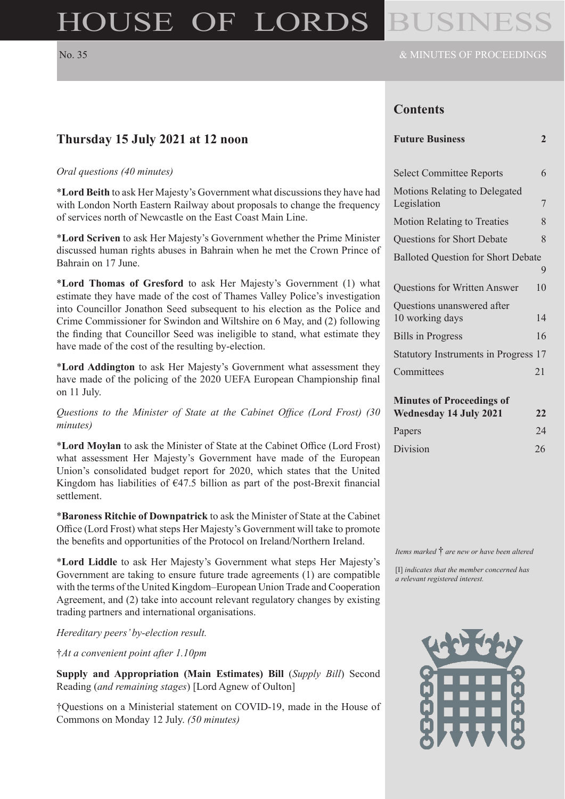# HOUSE OF LORDS

# **Contents**

| <b>Future Business</b> |  |
|------------------------|--|
|------------------------|--|

| <b>Select Committee Reports</b>                                         | 6  |  |
|-------------------------------------------------------------------------|----|--|
| <b>Motions Relating to Delegated</b><br>Legislation                     | 7  |  |
| <b>Motion Relating to Treaties</b>                                      | 8  |  |
| Questions for Short Debate                                              | 8  |  |
| <b>Balloted Question for Short Debate</b>                               |    |  |
|                                                                         | 9  |  |
| <b>Questions for Written Answer</b>                                     | 10 |  |
| Questions unanswered after<br>10 working days                           | 14 |  |
| <b>Bills in Progress</b>                                                | 16 |  |
| <b>Statutory Instruments in Progress</b>                                | 17 |  |
| Committees                                                              | 21 |  |
| <b>Minutes of Proceedings of</b><br><b>Wednesday 14 July 2021</b><br>22 |    |  |
| Papers                                                                  | 24 |  |
| Division                                                                | 26 |  |

*Items marked* † *are new or have been altered*

[I] *indicates that the member concerned has a relevant registered interest.*



# **Thursday 15 July 2021 at 12 noon**

#### *Oral questions (40 minutes)*

\***Lord Beith** to ask Her Majesty's Government what discussions they have had with London North Eastern Railway about proposals to change the frequency of services north of Newcastle on the East Coast Main Line.

\***Lord Scriven** to ask Her Majesty's Government whether the Prime Minister discussed human rights abuses in Bahrain when he met the Crown Prince of Bahrain on 17 June.

\***Lord Thomas of Gresford** to ask Her Majesty's Government (1) what estimate they have made of the cost of Thames Valley Police's investigation into Councillor Jonathon Seed subsequent to his election as the Police and Crime Commissioner for Swindon and Wiltshire on 6 May, and (2) following the finding that Councillor Seed was ineligible to stand, what estimate they have made of the cost of the resulting by-election.

\***Lord Addington** to ask Her Majesty's Government what assessment they have made of the policing of the 2020 UEFA European Championship final on 11 July.

*Questions to the Minister of State at the Cabinet Office (Lord Frost) (30 minutes)*

\***Lord Moylan** to ask the Minister of State at the Cabinet Office (Lord Frost) what assessment Her Majesty's Government have made of the European Union's consolidated budget report for 2020, which states that the United Kingdom has liabilities of  $\epsilon$ 47.5 billion as part of the post-Brexit financial settlement.

\***Baroness Ritchie of Downpatrick** to ask the Minister of State at the Cabinet Office (Lord Frost) what steps Her Majesty's Government will take to promote the benefits and opportunities of the Protocol on Ireland/Northern Ireland.

\***Lord Liddle** to ask Her Majesty's Government what steps Her Majesty's Government are taking to ensure future trade agreements (1) are compatible with the terms of the United Kingdom–European Union Trade and Cooperation Agreement, and (2) take into account relevant regulatory changes by existing trading partners and international organisations.

*Hereditary peers' by-election result.*

†*At a convenient point after 1.10pm*

**Supply and Appropriation (Main Estimates) Bill** (*Supply Bill*) Second Reading (*and remaining stages*) [Lord Agnew of Oulton]

†Questions on a Ministerial statement on COVID-19, made in the House of Commons on Monday 12 July. *(50 minutes)*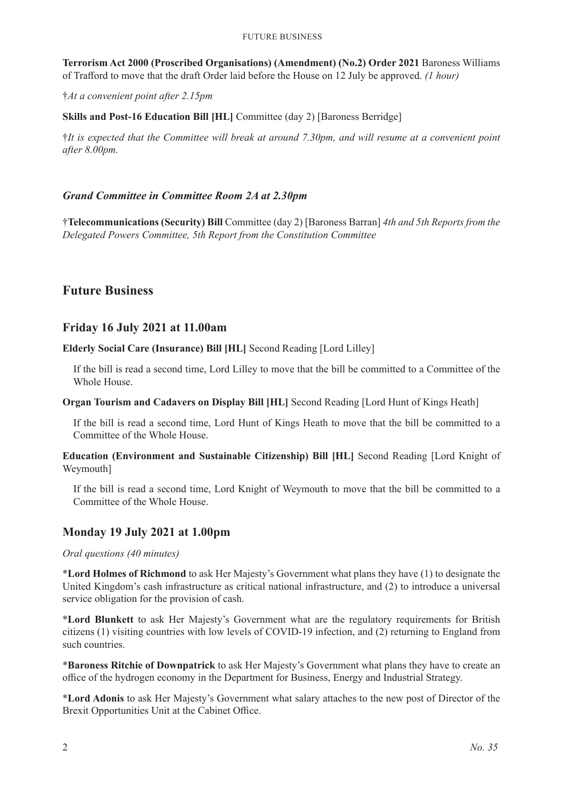#### Future Business

**Terrorism Act 2000 (Proscribed Organisations) (Amendment) (No.2) Order 2021** Baroness Williams of Trafford to move that the draft Order laid before the House on 12 July be approved. *(1 hour)*

†*At a convenient point after 2.15pm*

**Skills and Post-16 Education Bill [HL]** Committee (day 2) [Baroness Berridge]

†*It is expected that the Committee will break at around 7.30pm, and will resume at a convenient point after 8.00pm.*

#### *Grand Committee in Committee Room 2A at 2.30pm*

†**Telecommunications (Security) Bill** Committee (day 2) [Baroness Barran] *4th and 5th Reports from the Delegated Powers Committee, 5th Report from the Constitution Committee*

# **Future Business**

## **Friday 16 July 2021 at 11.00am**

**Elderly Social Care (Insurance) Bill [HL]** Second Reading [Lord Lilley]

If the bill is read a second time, Lord Lilley to move that the bill be committed to a Committee of the Whole House.

**Organ Tourism and Cadavers on Display Bill [HL]** Second Reading [Lord Hunt of Kings Heath]

If the bill is read a second time, Lord Hunt of Kings Heath to move that the bill be committed to a Committee of the Whole House.

**Education (Environment and Sustainable Citizenship) Bill [HL]** Second Reading [Lord Knight of Weymouth]

If the bill is read a second time, Lord Knight of Weymouth to move that the bill be committed to a Committee of the Whole House.

## **Monday 19 July 2021 at 1.00pm**

*Oral questions (40 minutes)*

\***Lord Holmes of Richmond** to ask Her Majesty's Government what plans they have (1) to designate the United Kingdom's cash infrastructure as critical national infrastructure, and (2) to introduce a universal service obligation for the provision of cash.

\***Lord Blunkett** to ask Her Majesty's Government what are the regulatory requirements for British citizens (1) visiting countries with low levels of COVID-19 infection, and (2) returning to England from such countries.

\***Baroness Ritchie of Downpatrick** to ask Her Majesty's Government what plans they have to create an office of the hydrogen economy in the Department for Business, Energy and Industrial Strategy.

\***Lord Adonis** to ask Her Majesty's Government what salary attaches to the new post of Director of the Brexit Opportunities Unit at the Cabinet Office.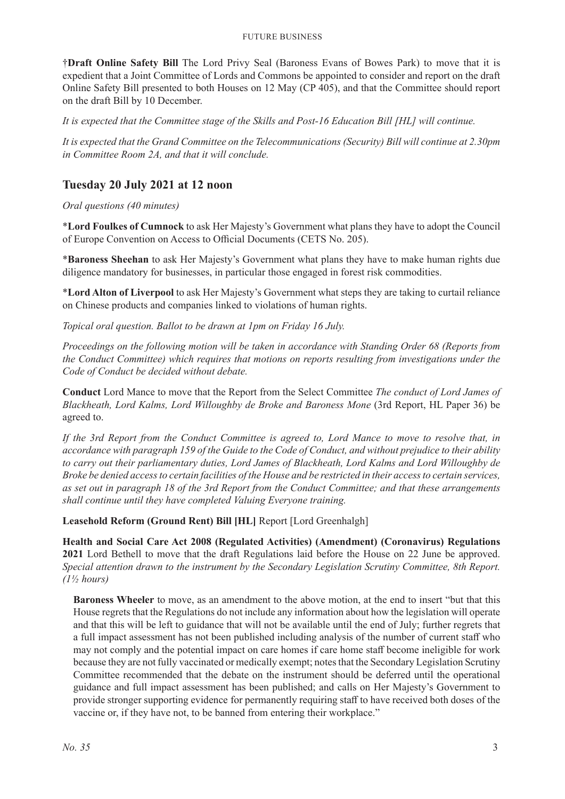†**Draft Online Safety Bill** The Lord Privy Seal (Baroness Evans of Bowes Park) to move that it is expedient that a Joint Committee of Lords and Commons be appointed to consider and report on the draft Online Safety Bill presented to both Houses on 12 May (CP 405), and that the Committee should report on the draft Bill by 10 December.

*It is expected that the Committee stage of the Skills and Post-16 Education Bill [HL] will continue.*

*It is expected that the Grand Committee on the Telecommunications (Security) Bill will continue at 2.30pm in Committee Room 2A, and that it will conclude.*

# **Tuesday 20 July 2021 at 12 noon**

*Oral questions (40 minutes)*

\***Lord Foulkes of Cumnock** to ask Her Majesty's Government what plans they have to adopt the Council of Europe Convention on Access to Official Documents (CETS No. 205).

\***Baroness Sheehan** to ask Her Majesty's Government what plans they have to make human rights due diligence mandatory for businesses, in particular those engaged in forest risk commodities.

\***Lord Alton of Liverpool** to ask Her Majesty's Government what steps they are taking to curtail reliance on Chinese products and companies linked to violations of human rights.

*Topical oral question. Ballot to be drawn at 1pm on Friday 16 July.*

*Proceedings on the following motion will be taken in accordance with Standing Order 68 (Reports from the Conduct Committee) which requires that motions on reports resulting from investigations under the Code of Conduct be decided without debate.*

**Conduct** Lord Mance to move that the Report from the Select Committee *The conduct of Lord James of Blackheath, Lord Kalms, Lord Willoughby de Broke and Baroness Mone* (3rd Report, HL Paper 36) be agreed to.

*If the 3rd Report from the Conduct Committee is agreed to, Lord Mance to move to resolve that, in accordance with paragraph 159 of the Guide to the Code of Conduct, and without prejudice to their ability to carry out their parliamentary duties, Lord James of Blackheath, Lord Kalms and Lord Willoughby de Broke be denied access to certain facilities of the House and be restricted in their access to certain services, as set out in paragraph 18 of the 3rd Report from the Conduct Committee; and that these arrangements shall continue until they have completed Valuing Everyone training.*

**Leasehold Reform (Ground Rent) Bill [HL]** Report [Lord Greenhalgh]

**Health and Social Care Act 2008 (Regulated Activities) (Amendment) (Coronavirus) Regulations 2021** Lord Bethell to move that the draft Regulations laid before the House on 22 June be approved. *Special attention drawn to the instrument by the Secondary Legislation Scrutiny Committee, 8th Report. (1½ hours)*

**Baroness Wheeler** to move, as an amendment to the above motion, at the end to insert "but that this House regrets that the Regulations do not include any information about how the legislation will operate and that this will be left to guidance that will not be available until the end of July; further regrets that a full impact assessment has not been published including analysis of the number of current staff who may not comply and the potential impact on care homes if care home staff become ineligible for work because they are not fully vaccinated or medically exempt; notes that the Secondary Legislation Scrutiny Committee recommended that the debate on the instrument should be deferred until the operational guidance and full impact assessment has been published; and calls on Her Majesty's Government to provide stronger supporting evidence for permanently requiring staff to have received both doses of the vaccine or, if they have not, to be banned from entering their workplace."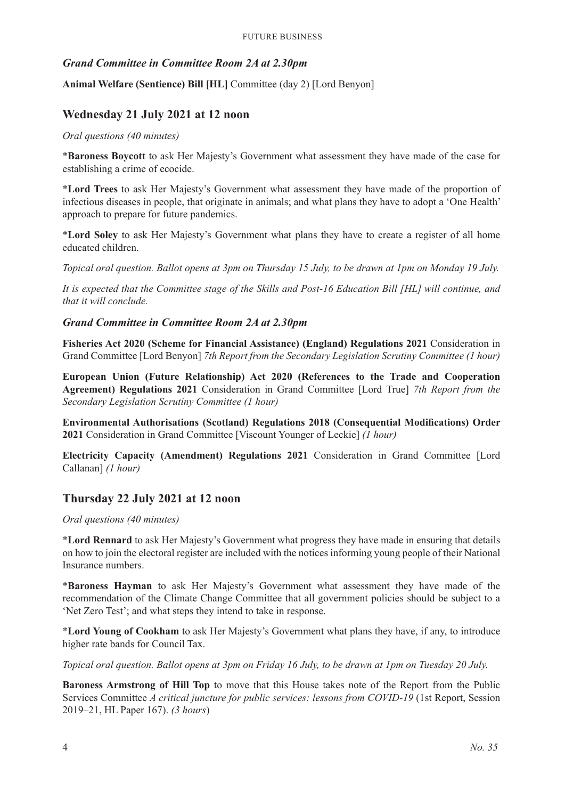# *Grand Committee in Committee Room 2A at 2.30pm*

**Animal Welfare (Sentience) Bill [HL]** Committee (day 2) [Lord Benyon]

# **Wednesday 21 July 2021 at 12 noon**

#### *Oral questions (40 minutes)*

\***Baroness Boycott** to ask Her Majesty's Government what assessment they have made of the case for establishing a crime of ecocide.

\***Lord Trees** to ask Her Majesty's Government what assessment they have made of the proportion of infectious diseases in people, that originate in animals; and what plans they have to adopt a 'One Health' approach to prepare for future pandemics.

\***Lord Soley** to ask Her Majesty's Government what plans they have to create a register of all home educated children.

*Topical oral question. Ballot opens at 3pm on Thursday 15 July, to be drawn at 1pm on Monday 19 July.*

*It is expected that the Committee stage of the Skills and Post-16 Education Bill [HL] will continue, and that it will conclude.*

#### *Grand Committee in Committee Room 2A at 2.30pm*

**Fisheries Act 2020 (Scheme for Financial Assistance) (England) Regulations 2021** Consideration in Grand Committee [Lord Benyon] *7th Report from the Secondary Legislation Scrutiny Committee (1 hour)*

**European Union (Future Relationship) Act 2020 (References to the Trade and Cooperation Agreement) Regulations 2021** Consideration in Grand Committee [Lord True] *7th Report from the Secondary Legislation Scrutiny Committee (1 hour)*

**Environmental Authorisations (Scotland) Regulations 2018 (Consequential Modifications) Order 2021** Consideration in Grand Committee [Viscount Younger of Leckie] *(1 hour)*

**Electricity Capacity (Amendment) Regulations 2021** Consideration in Grand Committee [Lord Callanan] *(1 hour)*

## **Thursday 22 July 2021 at 12 noon**

#### *Oral questions (40 minutes)*

\***Lord Rennard** to ask Her Majesty's Government what progress they have made in ensuring that details on how to join the electoral register are included with the notices informing young people of their National Insurance numbers.

\***Baroness Hayman** to ask Her Majesty's Government what assessment they have made of the recommendation of the Climate Change Committee that all government policies should be subject to a 'Net Zero Test'; and what steps they intend to take in response.

\***Lord Young of Cookham** to ask Her Majesty's Government what plans they have, if any, to introduce higher rate bands for Council Tax.

*Topical oral question. Ballot opens at 3pm on Friday 16 July, to be drawn at 1pm on Tuesday 20 July.*

**Baroness Armstrong of Hill Top** to move that this House takes note of the Report from the Public Services Committee *A critical juncture for public services: lessons from COVID-19* (1st Report, Session 2019–21, HL Paper 167). *(3 hours*)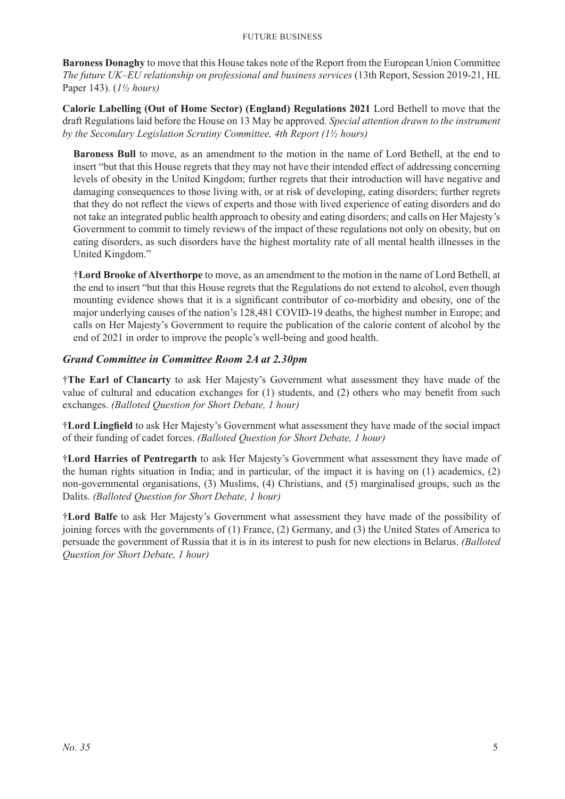#### Future Business

**Baroness Donaghy** to move that this House takes note of the Report from the European Union Committee *The future UK–EU relationship on professional and business services* (13th Report, Session 2019-21, HL Paper 143). (*1½ hours)*

**Calorie Labelling (Out of Home Sector) (England) Regulations 2021** Lord Bethell to move that the draft Regulations laid before the House on 13 May be approved. *Special attention drawn to the instrument by the Secondary Legislation Scrutiny Committee, 4th Report (1½ hours)*

**Baroness Bull** to move, as an amendment to the motion in the name of Lord Bethell, at the end to insert "but that this House regrets that they may not have their intended effect of addressing concerning levels of obesity in the United Kingdom; further regrets that their introduction will have negative and damaging consequences to those living with, or at risk of developing, eating disorders; further regrets that they do not reflect the views of experts and those with lived experience of eating disorders and do not take an integrated public health approach to obesity and eating disorders; and calls on Her Majesty's Government to commit to timely reviews of the impact of these regulations not only on obesity, but on eating disorders, as such disorders have the highest mortality rate of all mental health illnesses in the United Kingdom."

†**Lord Brooke of Alverthorpe** to move, as an amendment to the motion in the name of Lord Bethell, at the end to insert "but that this House regrets that the Regulations do not extend to alcohol, even though mounting evidence shows that it is a significant contributor of co-morbidity and obesity, one of the major underlying causes of the nation's 128,481 COVID-19 deaths, the highest number in Europe; and calls on Her Majesty's Government to require the publication of the calorie content of alcohol by the end of 2021 in order to improve the people's well-being and good health.

#### *Grand Committee in Committee Room 2A at 2.30pm*

†**The Earl of Clancarty** to ask Her Majesty's Government what assessment they have made of the value of cultural and education exchanges for (1) students, and (2) others who may benefit from such exchanges. *(Balloted Question for Short Debate, 1 hour)*

†**Lord Lingfield** to ask Her Majesty's Government what assessment they have made of the social impact of their funding of cadet forces. *(Balloted Question for Short Debate, 1 hour)*

†**Lord Harries of Pentregarth** to ask Her Majesty's Government what assessment they have made of the human rights situation in India; and in particular, of the impact it is having on (1) academics, (2) non-governmental organisations, (3) Muslims, (4) Christians, and (5) marginalised groups, such as the Dalits. *(Balloted Question for Short Debate, 1 hour)*

†**Lord Balfe** to ask Her Majesty's Government what assessment they have made of the possibility of joining forces with the governments of (1) France, (2) Germany, and (3) the United States of America to persuade the government of Russia that it is in its interest to push for new elections in Belarus. *(Balloted Question for Short Debate, 1 hour)*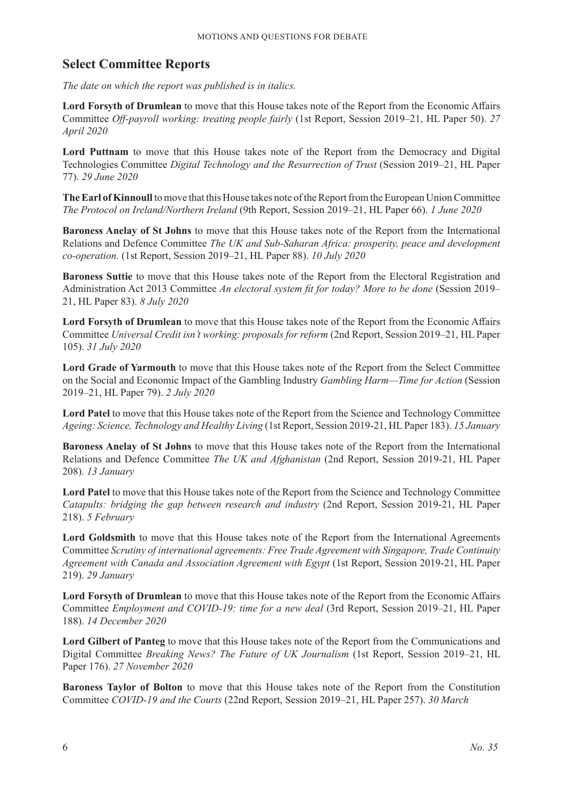# **Select Committee Reports**

*The date on which the report was published is in italics.*

**Lord Forsyth of Drumlean** to move that this House takes note of the Report from the Economic Affairs Committee *Off-payroll working: treating people fairly* (1st Report, Session 2019–21, HL Paper 50). *27 April 2020*

Lord Puttnam to move that this House takes note of the Report from the Democracy and Digital Technologies Committee *Digital Technology and the Resurrection of Trust* (Session 2019–21, HL Paper 77). *29 June 2020*

**The Earl of Kinnoull** to move that this House takes note of the Report from the European Union Committee *The Protocol on Ireland/Northern Ireland* (9th Report, Session 2019–21, HL Paper 66). *1 June 2020*

**Baroness Anelay of St Johns** to move that this House takes note of the Report from the International Relations and Defence Committee *The UK and Sub-Saharan Africa: prosperity, peace and development co-operation.* (1st Report, Session 2019–21, HL Paper 88). *10 July 2020*

**Baroness Suttie** to move that this House takes note of the Report from the Electoral Registration and Administration Act 2013 Committee *An electoral system fit for today? More to be done* (Session 2019– 21, HL Paper 83). *8 July 2020*

**Lord Forsyth of Drumlean** to move that this House takes note of the Report from the Economic Affairs Committee *Universal Credit isn't working: proposals for reform* (2nd Report, Session 2019–21, HL Paper 105). *31 July 2020*

**Lord Grade of Yarmouth** to move that this House takes note of the Report from the Select Committee on the Social and Economic Impact of the Gambling Industry *Gambling Harm—Time for Action* (Session 2019–21, HL Paper 79). *2 July 2020*

**Lord Patel** to move that this House takes note of the Report from the Science and Technology Committee *Ageing: Science, Technology and Healthy Living* (1st Report, Session 2019-21, HL Paper 183). *15 January*

**Baroness Anelay of St Johns** to move that this House takes note of the Report from the International Relations and Defence Committee *The UK and Afghanistan* (2nd Report, Session 2019-21, HL Paper 208). *13 January*

**Lord Patel** to move that this House takes note of the Report from the Science and Technology Committee *Catapults: bridging the gap between research and industry* (2nd Report, Session 2019-21, HL Paper 218). *5 February*

**Lord Goldsmith** to move that this House takes note of the Report from the International Agreements Committee *Scrutiny of international agreements: Free Trade Agreement with Singapore, Trade Continuity Agreement with Canada and Association Agreement with Egypt* (1st Report, Session 2019-21, HL Paper 219). *29 January*

**Lord Forsyth of Drumlean** to move that this House takes note of the Report from the Economic Affairs Committee *Employment and COVID-19: time for a new deal* (3rd Report, Session 2019–21, HL Paper 188). *14 December 2020*

**Lord Gilbert of Panteg** to move that this House takes note of the Report from the Communications and Digital Committee *Breaking News? The Future of UK Journalism* (1st Report, Session 2019–21, HL Paper 176). *27 November 2020*

**Baroness Taylor of Bolton** to move that this House takes note of the Report from the Constitution Committee *COVID-19 and the Courts* (22nd Report, Session 2019–21, HL Paper 257). *30 March*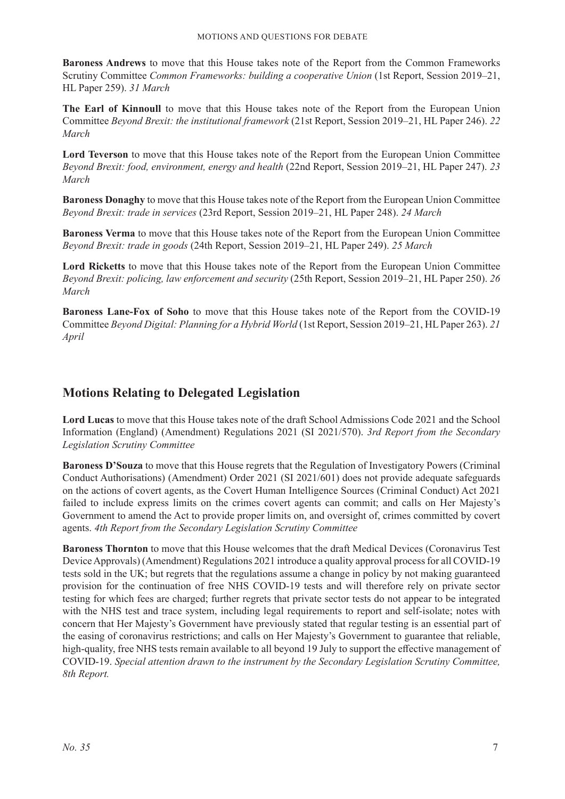**Baroness Andrews** to move that this House takes note of the Report from the Common Frameworks Scrutiny Committee *Common Frameworks: building a cooperative Union* (1st Report, Session 2019–21, HL Paper 259). *31 March*

**The Earl of Kinnoull** to move that this House takes note of the Report from the European Union Committee *Beyond Brexit: the institutional framework* (21st Report, Session 2019–21, HL Paper 246). *22 March*

**Lord Teverson** to move that this House takes note of the Report from the European Union Committee *Beyond Brexit: food, environment, energy and health* (22nd Report, Session 2019–21, HL Paper 247). *23 March*

**Baroness Donaghy** to move that this House takes note of the Report from the European Union Committee *Beyond Brexit: trade in services* (23rd Report, Session 2019–21, HL Paper 248). *24 March*

**Baroness Verma** to move that this House takes note of the Report from the European Union Committee *Beyond Brexit: trade in goods* (24th Report, Session 2019–21, HL Paper 249). *25 March*

**Lord Ricketts** to move that this House takes note of the Report from the European Union Committee *Beyond Brexit: policing, law enforcement and security* (25th Report, Session 2019–21, HL Paper 250). *26 March*

**Baroness Lane-Fox of Soho** to move that this House takes note of the Report from the COVID-19 Committee *Beyond Digital: Planning for a Hybrid World* (1st Report, Session 2019–21, HL Paper 263). *21 April*

# **Motions Relating to Delegated Legislation**

**Lord Lucas** to move that this House takes note of the draft School Admissions Code 2021 and the School Information (England) (Amendment) Regulations 2021 (SI 2021/570). *3rd Report from the Secondary Legislation Scrutiny Committee*

**Baroness D'Souza** to move that this House regrets that the Regulation of Investigatory Powers (Criminal Conduct Authorisations) (Amendment) Order 2021 (SI 2021/601) does not provide adequate safeguards on the actions of covert agents, as the Covert Human Intelligence Sources (Criminal Conduct) Act 2021 failed to include express limits on the crimes covert agents can commit; and calls on Her Majesty's Government to amend the Act to provide proper limits on, and oversight of, crimes committed by covert agents. *4th Report from the Secondary Legislation Scrutiny Committee*

**Baroness Thornton** to move that this House welcomes that the draft Medical Devices (Coronavirus Test Device Approvals) (Amendment) Regulations 2021 introduce a quality approval process for all COVID-19 tests sold in the UK; but regrets that the regulations assume a change in policy by not making guaranteed provision for the continuation of free NHS COVID-19 tests and will therefore rely on private sector testing for which fees are charged; further regrets that private sector tests do not appear to be integrated with the NHS test and trace system, including legal requirements to report and self-isolate; notes with concern that Her Majesty's Government have previously stated that regular testing is an essential part of the easing of coronavirus restrictions; and calls on Her Majesty's Government to guarantee that reliable, high-quality, free NHS tests remain available to all beyond 19 July to support the effective management of COVID-19. *Special attention drawn to the instrument by the Secondary Legislation Scrutiny Committee, 8th Report.*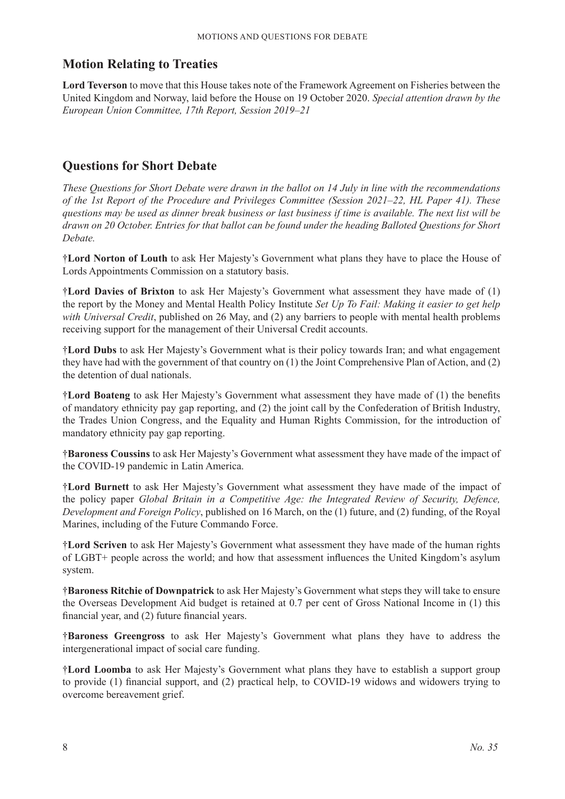# **Motion Relating to Treaties**

**Lord Teverson** to move that this House takes note of the Framework Agreement on Fisheries between the United Kingdom and Norway, laid before the House on 19 October 2020. *Special attention drawn by the European Union Committee, 17th Report, Session 2019–21*

# **Questions for Short Debate**

*These Questions for Short Debate were drawn in the ballot on 14 July in line with the recommendations of the 1st Report of the Procedure and Privileges Committee (Session 2021–22, HL Paper 41). These questions may be used as dinner break business or last business if time is available. The next list will be drawn on 20 October. Entries for that ballot can be found under the heading Balloted Questions for Short Debate.*

†**Lord Norton of Louth** to ask Her Majesty's Government what plans they have to place the House of Lords Appointments Commission on a statutory basis.

†**Lord Davies of Brixton** to ask Her Majesty's Government what assessment they have made of (1) the report by the Money and Mental Health Policy Institute *Set Up To Fail: Making it easier to get help with Universal Credit*, published on 26 May, and (2) any barriers to people with mental health problems receiving support for the management of their Universal Credit accounts.

†**Lord Dubs** to ask Her Majesty's Government what is their policy towards Iran; and what engagement they have had with the government of that country on (1) the Joint Comprehensive Plan of Action, and (2) the detention of dual nationals.

†**Lord Boateng** to ask Her Majesty's Government what assessment they have made of (1) the benefits of mandatory ethnicity pay gap reporting, and (2) the joint call by the Confederation of British Industry, the Trades Union Congress, and the Equality and Human Rights Commission, for the introduction of mandatory ethnicity pay gap reporting.

†**Baroness Coussins** to ask Her Majesty's Government what assessment they have made of the impact of the COVID-19 pandemic in Latin America.

†**Lord Burnett** to ask Her Majesty's Government what assessment they have made of the impact of the policy paper *Global Britain in a Competitive Age: the Integrated Review of Security, Defence, Development and Foreign Policy*, published on 16 March, on the (1) future, and (2) funding, of the Royal Marines, including of the Future Commando Force.

†**Lord Scriven** to ask Her Majesty's Government what assessment they have made of the human rights of LGBT+ people across the world; and how that assessment influences the United Kingdom's asylum system.

†**Baroness Ritchie of Downpatrick** to ask Her Majesty's Government what steps they will take to ensure the Overseas Development Aid budget is retained at 0.7 per cent of Gross National Income in (1) this financial year, and (2) future financial years.

†**Baroness Greengross** to ask Her Majesty's Government what plans they have to address the intergenerational impact of social care funding.

†**Lord Loomba** to ask Her Majesty's Government what plans they have to establish a support group to provide (1) financial support, and (2) practical help, to COVID-19 widows and widowers trying to overcome bereavement grief.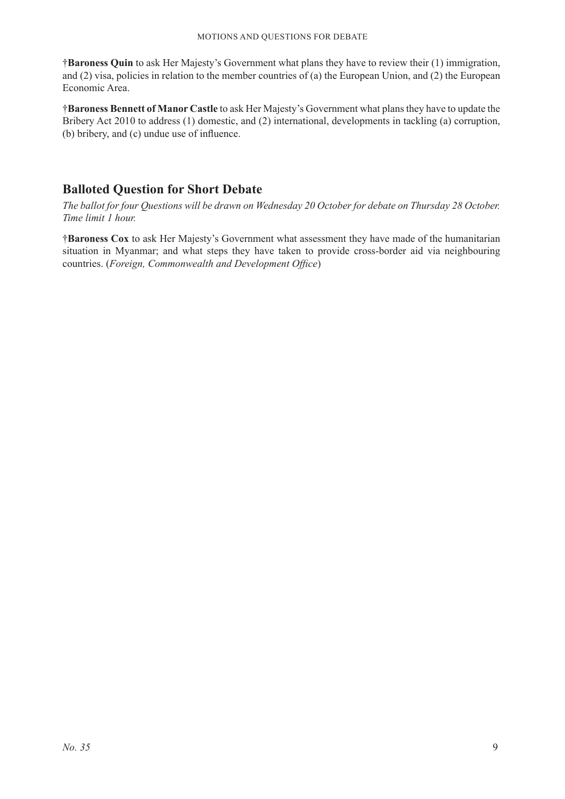†**Baroness Quin** to ask Her Majesty's Government what plans they have to review their (1) immigration, and (2) visa, policies in relation to the member countries of (a) the European Union, and (2) the European Economic Area.

†**Baroness Bennett of Manor Castle** to ask Her Majesty's Government what plans they have to update the Bribery Act 2010 to address (1) domestic, and (2) international, developments in tackling (a) corruption, (b) bribery, and (c) undue use of influence.

# **Balloted Question for Short Debate**

*The ballot for four Questions will be drawn on Wednesday 20 October for debate on Thursday 28 October. Time limit 1 hour.*

†**Baroness Cox** to ask Her Majesty's Government what assessment they have made of the humanitarian situation in Myanmar; and what steps they have taken to provide cross-border aid via neighbouring countries. (*Foreign, Commonwealth and Development Office*)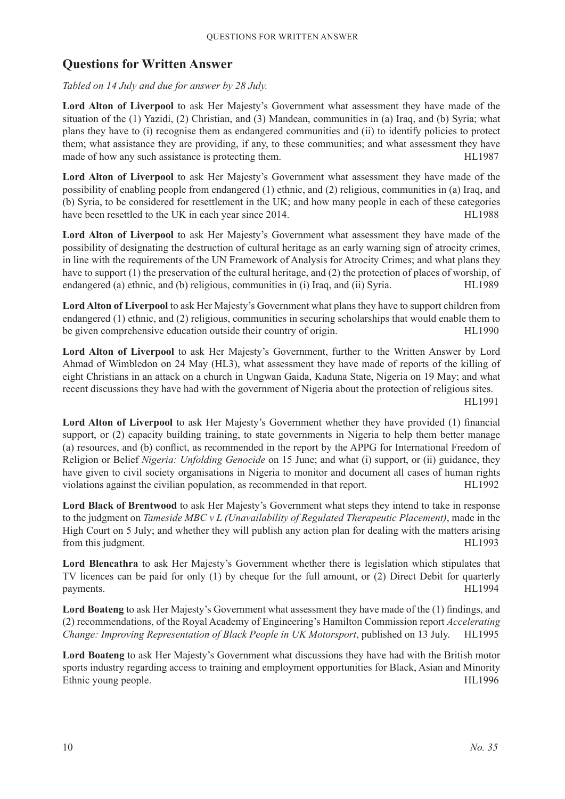# **Questions for Written Answer**

*Tabled on 14 July and due for answer by 28 July.*

Lord Alton of Liverpool to ask Her Majesty's Government what assessment they have made of the situation of the (1) Yazidi, (2) Christian, and (3) Mandean, communities in (a) Iraq, and (b) Syria; what plans they have to (i) recognise them as endangered communities and (ii) to identify policies to protect them; what assistance they are providing, if any, to these communities; and what assessment they have made of how any such assistance is protecting them. HL1987

Lord Alton of Liverpool to ask Her Majesty's Government what assessment they have made of the possibility of enabling people from endangered (1) ethnic, and (2) religious, communities in (a) Iraq, and (b) Syria, to be considered for resettlement in the UK; and how many people in each of these categories have been resettled to the UK in each year since 2014. HL1988

**Lord Alton of Liverpool** to ask Her Majesty's Government what assessment they have made of the possibility of designating the destruction of cultural heritage as an early warning sign of atrocity crimes, in line with the requirements of the UN Framework of Analysis for Atrocity Crimes; and what plans they have to support (1) the preservation of the cultural heritage, and (2) the protection of places of worship, of endangered (a) ethnic, and (b) religious, communities in (i) Iraq, and (ii) Syria. HL1989

**Lord Alton of Liverpool** to ask Her Majesty's Government what plans they have to support children from endangered (1) ethnic, and (2) religious, communities in securing scholarships that would enable them to be given comprehensive education outside their country of origin. HL1990

Lord Alton of Liverpool to ask Her Majesty's Government, further to the Written Answer by Lord Ahmad of Wimbledon on 24 May (HL3), what assessment they have made of reports of the killing of eight Christians in an attack on a church in Ungwan Gaida, Kaduna State, Nigeria on 19 May; and what recent discussions they have had with the government of Nigeria about the protection of religious sites. HL1991

**Lord Alton of Liverpool** to ask Her Majesty's Government whether they have provided (1) financial support, or (2) capacity building training, to state governments in Nigeria to help them better manage (a) resources, and (b) conflict, as recommended in the report by the APPG for International Freedom of Religion or Belief *Nigeria: Unfolding Genocide* on 15 June; and what (i) support, or (ii) guidance, they have given to civil society organisations in Nigeria to monitor and document all cases of human rights violations against the civilian population, as recommended in that report. HL1992

**Lord Black of Brentwood** to ask Her Majesty's Government what steps they intend to take in response to the judgment on *Tameside MBC v L (Unavailability of Regulated Therapeutic Placement)*, made in the High Court on 5 July; and whether they will publish any action plan for dealing with the matters arising from this judgment. HL1993

**Lord Blencathra** to ask Her Majesty's Government whether there is legislation which stipulates that TV licences can be paid for only (1) by cheque for the full amount, or (2) Direct Debit for quarterly payments. HL1994

**Lord Boateng** to ask Her Majesty's Government what assessment they have made of the (1) findings, and (2) recommendations, of the Royal Academy of Engineering's Hamilton Commission report *Accelerating Change: Improving Representation of Black People in UK Motorsport*, published on 13 July. HL1995

**Lord Boateng** to ask Her Majesty's Government what discussions they have had with the British motor sports industry regarding access to training and employment opportunities for Black, Asian and Minority Ethnic young people. HL1996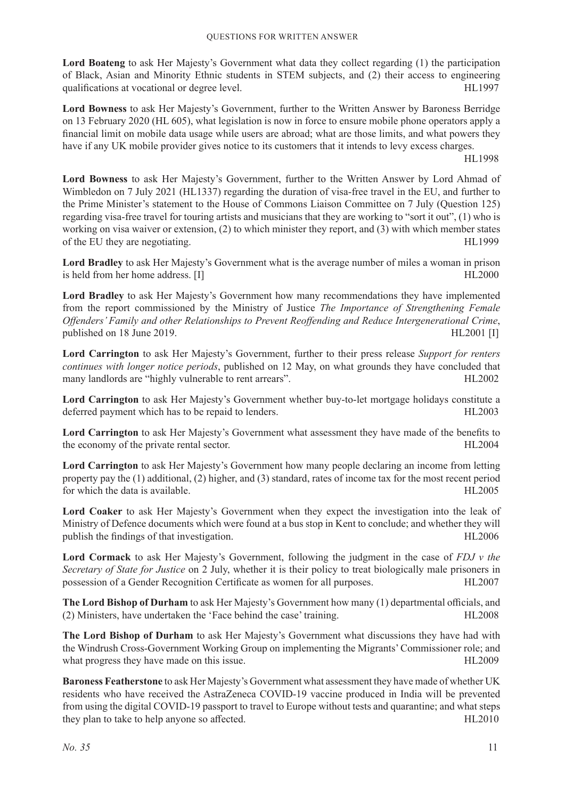**Lord Boateng** to ask Her Majesty's Government what data they collect regarding (1) the participation of Black, Asian and Minority Ethnic students in STEM subjects, and (2) their access to engineering qualifications at vocational or degree level. 
HL1997

**Lord Bowness** to ask Her Majesty's Government, further to the Written Answer by Baroness Berridge on 13 February 2020 (HL 605), what legislation is now in force to ensure mobile phone operators apply a financial limit on mobile data usage while users are abroad; what are those limits, and what powers they have if any UK mobile provider gives notice to its customers that it intends to levy excess charges.

HL1998

**Lord Bowness** to ask Her Majesty's Government, further to the Written Answer by Lord Ahmad of Wimbledon on 7 July 2021 (HL1337) regarding the duration of visa-free travel in the EU, and further to the Prime Minister's statement to the House of Commons Liaison Committee on 7 July (Question 125) regarding visa-free travel for touring artists and musicians that they are working to "sort it out", (1) who is working on visa waiver or extension, (2) to which minister they report, and (3) with which member states of the EU they are negotiating. HL1999

**Lord Bradley** to ask Her Majesty's Government what is the average number of miles a woman in prison is held from her home address. [I] HL2000

**Lord Bradley** to ask Her Majesty's Government how many recommendations they have implemented from the report commissioned by the Ministry of Justice *The Importance of Strengthening Female Offenders' Family and other Relationships to Prevent Reoffending and Reduce Intergenerational Crime*, published on 18 June 2019. https://www.archive.com/community/state on 18 June 2019.

**Lord Carrington** to ask Her Majesty's Government, further to their press release *Support for renters continues with longer notice periods*, published on 12 May, on what grounds they have concluded that many landlords are "highly vulnerable to rent arrears". HL2002

**Lord Carrington** to ask Her Majesty's Government whether buy-to-let mortgage holidays constitute a deferred payment which has to be repaid to lenders. The mass of the state of the HL2003

**Lord Carrington** to ask Her Majesty's Government what assessment they have made of the benefits to the economy of the private rental sector. HL2004

**Lord Carrington** to ask Her Majesty's Government how many people declaring an income from letting property pay the (1) additional, (2) higher, and (3) standard, rates of income tax for the most recent period for which the data is available. HL<sub>2005</sub> has the data is available.

**Lord Coaker** to ask Her Majesty's Government when they expect the investigation into the leak of Ministry of Defence documents which were found at a bus stop in Kent to conclude; and whether they will publish the findings of that investigation. The state of the state of the HL2006 state of the HL2006

**Lord Cormack** to ask Her Majesty's Government, following the judgment in the case of *FDJ v the Secretary of State for Justice* on 2 July, whether it is their policy to treat biologically male prisoners in possession of a Gender Recognition Certificate as women for all purposes. HL2007

**The Lord Bishop of Durham** to ask Her Majesty's Government how many (1) departmental officials, and (2) Ministers, have undertaken the 'Face behind the case' training. HL2008

**The Lord Bishop of Durham** to ask Her Majesty's Government what discussions they have had with the Windrush Cross-Government Working Group on implementing the Migrants' Commissioner role; and what progress they have made on this issue. HL2009

**Baroness Featherstone** to ask Her Majesty's Government what assessment they have made of whether UK residents who have received the AstraZeneca COVID-19 vaccine produced in India will be prevented from using the digital COVID-19 passport to travel to Europe without tests and quarantine; and what steps they plan to take to help anyone so affected. HL2010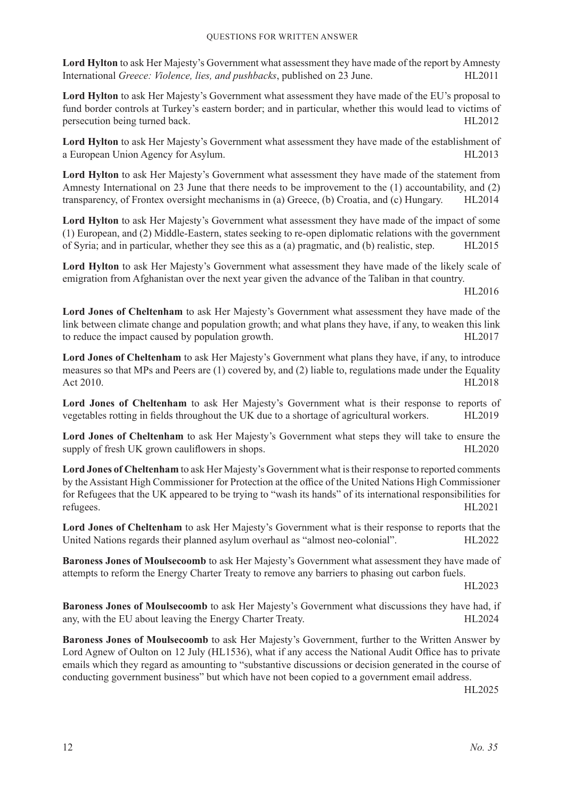**Lord Hylton** to ask Her Majesty's Government what assessment they have made of the report by Amnesty International *Greece: Violence, lies, and pushbacks*, published on 23 June. HL2011

**Lord Hylton** to ask Her Majesty's Government what assessment they have made of the EU's proposal to fund border controls at Turkey's eastern border; and in particular, whether this would lead to victims of persecution being turned back. HL2012

**Lord Hylton** to ask Her Majesty's Government what assessment they have made of the establishment of a European Union Agency for Asylum. HL2013

**Lord Hylton** to ask Her Majesty's Government what assessment they have made of the statement from Amnesty International on 23 June that there needs to be improvement to the (1) accountability, and (2) transparency, of Frontex oversight mechanisms in (a) Greece, (b) Croatia, and (c) Hungary. HL2014

**Lord Hylton** to ask Her Majesty's Government what assessment they have made of the impact of some (1) European, and (2) Middle-Eastern, states seeking to re-open diplomatic relations with the government of Syria; and in particular, whether they see this as a (a) pragmatic, and (b) realistic, step. HL2015

**Lord Hylton** to ask Her Majesty's Government what assessment they have made of the likely scale of emigration from Afghanistan over the next year given the advance of the Taliban in that country.

HL2016

**Lord Jones of Cheltenham** to ask Her Majesty's Government what assessment they have made of the link between climate change and population growth; and what plans they have, if any, to weaken this link to reduce the impact caused by population growth. HL2017

**Lord Jones of Cheltenham** to ask Her Majesty's Government what plans they have, if any, to introduce measures so that MPs and Peers are (1) covered by, and (2) liable to, regulations made under the Equality Act 2010. HL2018

**Lord Jones of Cheltenham** to ask Her Majesty's Government what is their response to reports of vegetables rotting in fields throughout the UK due to a shortage of agricultural workers. HL2019

**Lord Jones of Cheltenham** to ask Her Majesty's Government what steps they will take to ensure the supply of fresh UK grown cauliflowers in shops. HL2020

**Lord Jones of Cheltenham** to ask Her Majesty's Government what istheir response to reported comments by the Assistant High Commissioner for Protection at the office of the United Nations High Commissioner for Refugees that the UK appeared to be trying to "wash its hands" of its international responsibilities for refugees. HL2021

**Lord Jones of Cheltenham** to ask Her Majesty's Government what is their response to reports that the United Nations regards their planned asylum overhaul as "almost neo-colonial". HL2022

**Baroness Jones of Moulsecoomb** to ask Her Majesty's Government what assessment they have made of attempts to reform the Energy Charter Treaty to remove any barriers to phasing out carbon fuels.

HL2023

**Baroness Jones of Moulsecoomb** to ask Her Majesty's Government what discussions they have had, if any, with the EU about leaving the Energy Charter Treaty. HL2024

**Baroness Jones of Moulsecoomb** to ask Her Majesty's Government, further to the Written Answer by Lord Agnew of Oulton on 12 July (HL1536), what if any access the National Audit Office has to private emails which they regard as amounting to "substantive discussions or decision generated in the course of conducting government business" but which have not been copied to a government email address.

HL2025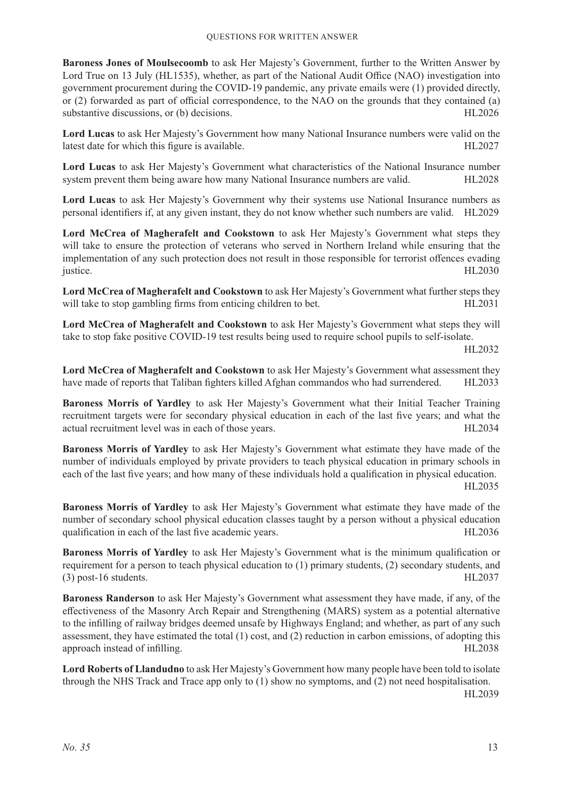**Baroness Jones of Moulsecoomb** to ask Her Majesty's Government, further to the Written Answer by Lord True on 13 July (HL1535), whether, as part of the National Audit Office (NAO) investigation into government procurement during the COVID-19 pandemic, any private emails were (1) provided directly, or (2) forwarded as part of official correspondence, to the NAO on the grounds that they contained (a) substantive discussions, or (b) decisions.  $HL2026$ 

**Lord Lucas** to ask Her Majesty's Government how many National Insurance numbers were valid on the latest date for which this figure is available. HL2027

**Lord Lucas** to ask Her Majesty's Government what characteristics of the National Insurance number system prevent them being aware how many National Insurance numbers are valid. HL2028

**Lord Lucas** to ask Her Majesty's Government why their systems use National Insurance numbers as personal identifiers if, at any given instant, they do not know whether such numbers are valid. HL2029

**Lord McCrea of Magherafelt and Cookstown** to ask Her Majesty's Government what steps they will take to ensure the protection of veterans who served in Northern Ireland while ensuring that the implementation of any such protection does not result in those responsible for terrorist offences evading justice. HL2030

**Lord McCrea of Magherafelt and Cookstown** to ask Her Majesty's Government what further steps they will take to stop gambling firms from enticing children to bet. HL2031

**Lord McCrea of Magherafelt and Cookstown** to ask Her Majesty's Government what steps they will take to stop fake positive COVID-19 test results being used to require school pupils to self-isolate.

HL2032

**Lord McCrea of Magherafelt and Cookstown** to ask Her Majesty's Government what assessment they have made of reports that Taliban fighters killed Afghan commandos who had surrendered. HL2033

**Baroness Morris of Yardley** to ask Her Majesty's Government what their Initial Teacher Training recruitment targets were for secondary physical education in each of the last five years; and what the actual recruitment level was in each of those years. HL2034

**Baroness Morris of Yardley** to ask Her Majesty's Government what estimate they have made of the number of individuals employed by private providers to teach physical education in primary schools in each of the last five years; and how many of these individuals hold a qualification in physical education. HL2035

**Baroness Morris of Yardley** to ask Her Majesty's Government what estimate they have made of the number of secondary school physical education classes taught by a person without a physical education qualification in each of the last five academic years. HL2036

**Baroness Morris of Yardley** to ask Her Majesty's Government what is the minimum qualification or requirement for a person to teach physical education to (1) primary students, (2) secondary students, and (3) post-16 students. HL2037

**Baroness Randerson** to ask Her Majesty's Government what assessment they have made, if any, of the effectiveness of the Masonry Arch Repair and Strengthening (MARS) system as a potential alternative to the infilling of railway bridges deemed unsafe by Highways England; and whether, as part of any such assessment, they have estimated the total (1) cost, and (2) reduction in carbon emissions, of adopting this approach instead of infilling. HL2038

**Lord Roberts of Llandudno** to ask Her Majesty's Government how many people have been told to isolate through the NHS Track and Trace app only to (1) show no symptoms, and (2) not need hospitalisation. HL2039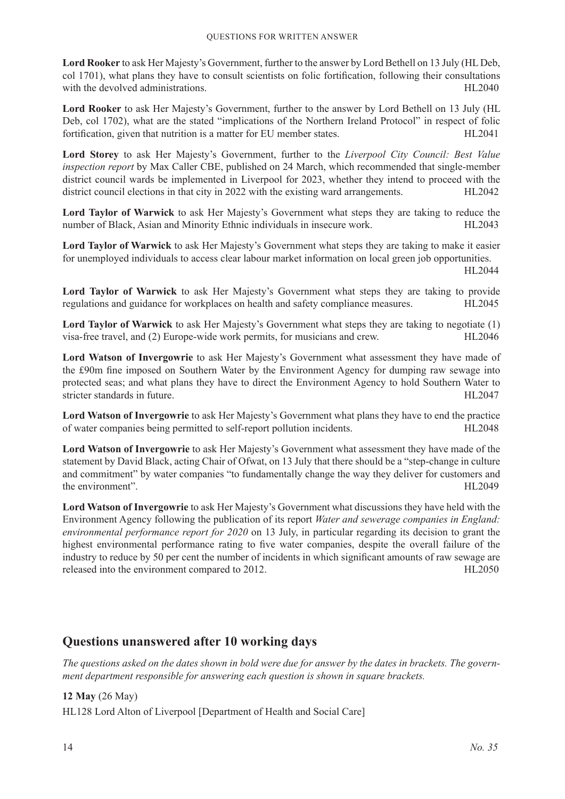**Lord Rooker** to ask Her Majesty's Government, further to the answer by Lord Bethell on 13 July (HL Deb, col 1701), what plans they have to consult scientists on folic fortification, following their consultations with the devolved administrations. HL2040

**Lord Rooker** to ask Her Majesty's Government, further to the answer by Lord Bethell on 13 July (HL Deb, col 1702), what are the stated "implications of the Northern Ireland Protocol" in respect of folic fortification, given that nutrition is a matter for EU member states. HL2041

**Lord Storey** to ask Her Majesty's Government, further to the *Liverpool City Council: Best Value inspection report* by Max Caller CBE, published on 24 March, which recommended that single-member district council wards be implemented in Liverpool for 2023, whether they intend to proceed with the district council elections in that city in 2022 with the existing ward arrangements. HL2042

**Lord Taylor of Warwick** to ask Her Majesty's Government what steps they are taking to reduce the number of Black, Asian and Minority Ethnic individuals in insecure work. HL2043

**Lord Taylor of Warwick** to ask Her Majesty's Government what steps they are taking to make it easier for unemployed individuals to access clear labour market information on local green job opportunities.

HL2044

**Lord Taylor of Warwick** to ask Her Majesty's Government what steps they are taking to provide regulations and guidance for workplaces on health and safety compliance measures. HL2045

**Lord Taylor of Warwick** to ask Her Majesty's Government what steps they are taking to negotiate (1) visa-free travel, and (2) Europe-wide work permits, for musicians and crew. HL2046

**Lord Watson of Invergowrie** to ask Her Majesty's Government what assessment they have made of the £90m fine imposed on Southern Water by the Environment Agency for dumping raw sewage into protected seas; and what plans they have to direct the Environment Agency to hold Southern Water to stricter standards in future. HL2047

**Lord Watson of Invergowrie** to ask Her Majesty's Government what plans they have to end the practice of water companies being permitted to self-report pollution incidents. HL2048

**Lord Watson of Invergowrie** to ask Her Majesty's Government what assessment they have made of the statement by David Black, acting Chair of Ofwat, on 13 July that there should be a "step-change in culture and commitment" by water companies "to fundamentally change the way they deliver for customers and the environment". HL2049

**Lord Watson of Invergowrie** to ask Her Majesty's Government what discussions they have held with the Environment Agency following the publication of its report *Water and sewerage companies in England: environmental performance report for 2020* on 13 July, in particular regarding its decision to grant the highest environmental performance rating to five water companies, despite the overall failure of the industry to reduce by 50 per cent the number of incidents in which significant amounts of raw sewage are released into the environment compared to 2012. HL2050

# **Questions unanswered after 10 working days**

*The questions asked on the dates shown in bold were due for answer by the dates in brackets. The government department responsible for answering each question is shown in square brackets.*

#### **12 May** (26 May)

HL128 Lord Alton of Liverpool [Department of Health and Social Care]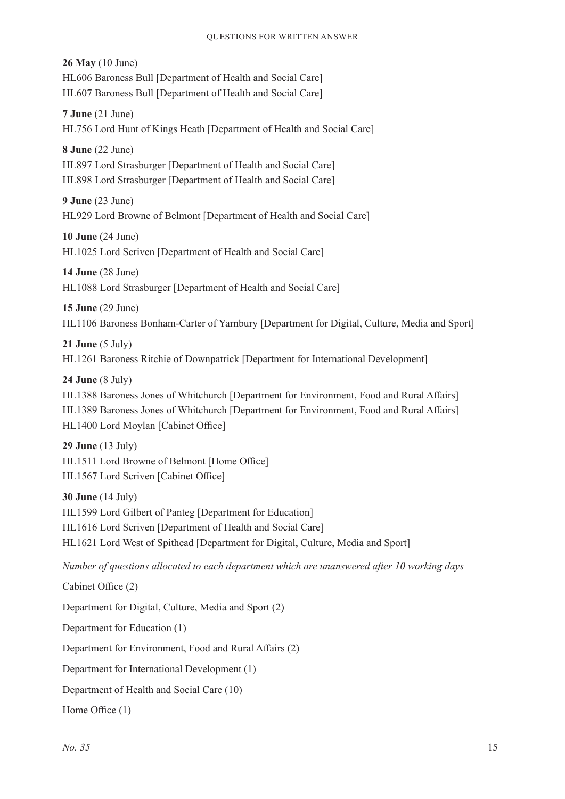**26 May** (10 June) HL606 Baroness Bull [Department of Health and Social Care] HL607 Baroness Bull [Department of Health and Social Care]

**7 June** (21 June) HL756 Lord Hunt of Kings Heath [Department of Health and Social Care]

**8 June** (22 June) HL897 Lord Strasburger [Department of Health and Social Care] HL898 Lord Strasburger [Department of Health and Social Care]

**9 June** (23 June) HL929 Lord Browne of Belmont [Department of Health and Social Care]

**10 June** (24 June) HL1025 Lord Scriven [Department of Health and Social Care]

**14 June** (28 June) HL1088 Lord Strasburger [Department of Health and Social Care]

**15 June** (29 June) HL1106 Baroness Bonham-Carter of Yarnbury [Department for Digital, Culture, Media and Sport]

**21 June** (5 July) HL1261 Baroness Ritchie of Downpatrick [Department for International Development]

**24 June** (8 July)

HL1388 Baroness Jones of Whitchurch [Department for Environment, Food and Rural Affairs] HL1389 Baroness Jones of Whitchurch [Department for Environment, Food and Rural Affairs] HL1400 Lord Moylan [Cabinet Office]

**29 June** (13 July) HL1511 Lord Browne of Belmont [Home Office] HL1567 Lord Scriven [Cabinet Office]

**30 June** (14 July) HL1599 Lord Gilbert of Panteg [Department for Education] HL1616 Lord Scriven [Department of Health and Social Care] HL1621 Lord West of Spithead [Department for Digital, Culture, Media and Sport]

*Number of questions allocated to each department which are unanswered after 10 working days*

Cabinet Office (2)

Department for Digital, Culture, Media and Sport (2)

Department for Education (1)

Department for Environment, Food and Rural Affairs (2)

Department for International Development (1)

Department of Health and Social Care (10)

Home Office (1)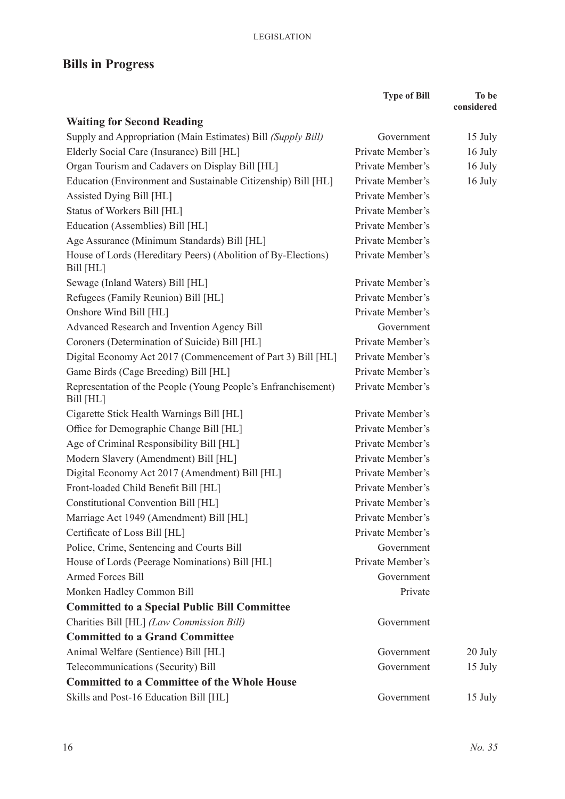# **Bills in Progress**

|                                                                            | <b>Type of Bill</b> | To be<br>considered |
|----------------------------------------------------------------------------|---------------------|---------------------|
| <b>Waiting for Second Reading</b>                                          |                     |                     |
| Supply and Appropriation (Main Estimates) Bill (Supply Bill)               | Government          | 15 July             |
| Elderly Social Care (Insurance) Bill [HL]                                  | Private Member's    | 16 July             |
| Organ Tourism and Cadavers on Display Bill [HL]                            | Private Member's    | 16 July             |
| Education (Environment and Sustainable Citizenship) Bill [HL]              | Private Member's    | 16 July             |
| Assisted Dying Bill [HL]                                                   | Private Member's    |                     |
| Status of Workers Bill [HL]                                                | Private Member's    |                     |
| Education (Assemblies) Bill [HL]                                           | Private Member's    |                     |
| Age Assurance (Minimum Standards) Bill [HL]                                | Private Member's    |                     |
| House of Lords (Hereditary Peers) (Abolition of By-Elections)<br>Bill [HL] | Private Member's    |                     |
| Sewage (Inland Waters) Bill [HL]                                           | Private Member's    |                     |
| Refugees (Family Reunion) Bill [HL]                                        | Private Member's    |                     |
| Onshore Wind Bill [HL]                                                     | Private Member's    |                     |
| Advanced Research and Invention Agency Bill                                | Government          |                     |
| Coroners (Determination of Suicide) Bill [HL]                              | Private Member's    |                     |
| Digital Economy Act 2017 (Commencement of Part 3) Bill [HL]                | Private Member's    |                     |
| Game Birds (Cage Breeding) Bill [HL]                                       | Private Member's    |                     |
| Representation of the People (Young People's Enfranchisement)<br>Bill [HL] | Private Member's    |                     |
| Cigarette Stick Health Warnings Bill [HL]                                  | Private Member's    |                     |
| Office for Demographic Change Bill [HL]                                    | Private Member's    |                     |
| Age of Criminal Responsibility Bill [HL]                                   | Private Member's    |                     |
| Modern Slavery (Amendment) Bill [HL]                                       | Private Member's    |                     |
| Digital Economy Act 2017 (Amendment) Bill [HL]                             | Private Member's    |                     |
| Front-loaded Child Benefit Bill [HL]                                       | Private Member's    |                     |
| Constitutional Convention Bill [HL]                                        | Private Member's    |                     |
| Marriage Act 1949 (Amendment) Bill [HL]                                    | Private Member's    |                     |
| Certificate of Loss Bill [HL]                                              | Private Member's    |                     |
| Police, Crime, Sentencing and Courts Bill                                  | Government          |                     |
| House of Lords (Peerage Nominations) Bill [HL]                             | Private Member's    |                     |
| <b>Armed Forces Bill</b>                                                   | Government          |                     |
| Monken Hadley Common Bill                                                  | Private             |                     |
| <b>Committed to a Special Public Bill Committee</b>                        |                     |                     |
| Charities Bill [HL] (Law Commission Bill)                                  | Government          |                     |
| <b>Committed to a Grand Committee</b>                                      |                     |                     |
| Animal Welfare (Sentience) Bill [HL]                                       | Government          | 20 July             |
| Telecommunications (Security) Bill                                         | Government          | 15 July             |
| <b>Committed to a Committee of the Whole House</b>                         |                     |                     |
| Skills and Post-16 Education Bill [HL]                                     | Government          | 15 July             |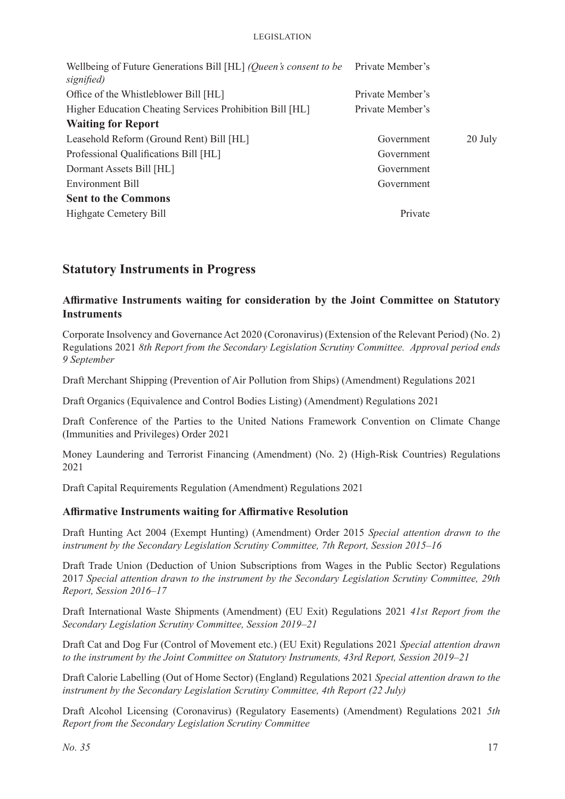| Private Member's |         |
|------------------|---------|
| Private Member's |         |
| Private Member's |         |
|                  |         |
| Government       | 20 July |
| Government       |         |
| Government       |         |
| Government       |         |
|                  |         |
| Private          |         |
|                  |         |

# **Statutory Instruments in Progress**

#### **Affirmative Instruments waiting for consideration by the Joint Committee on Statutory Instruments**

Corporate Insolvency and Governance Act 2020 (Coronavirus) (Extension of the Relevant Period) (No. 2) Regulations 2021 *8th Report from the Secondary Legislation Scrutiny Committee. Approval period ends 9 September*

Draft Merchant Shipping (Prevention of Air Pollution from Ships) (Amendment) Regulations 2021

Draft Organics (Equivalence and Control Bodies Listing) (Amendment) Regulations 2021

Draft Conference of the Parties to the United Nations Framework Convention on Climate Change (Immunities and Privileges) Order 2021

Money Laundering and Terrorist Financing (Amendment) (No. 2) (High-Risk Countries) Regulations 2021

Draft Capital Requirements Regulation (Amendment) Regulations 2021

#### **Affirmative Instruments waiting for Affirmative Resolution**

Draft Hunting Act 2004 (Exempt Hunting) (Amendment) Order 2015 *Special attention drawn to the instrument by the Secondary Legislation Scrutiny Committee, 7th Report, Session 2015–16*

Draft Trade Union (Deduction of Union Subscriptions from Wages in the Public Sector) Regulations 2017 *Special attention drawn to the instrument by the Secondary Legislation Scrutiny Committee, 29th Report, Session 2016–17*

Draft International Waste Shipments (Amendment) (EU Exit) Regulations 2021 *41st Report from the Secondary Legislation Scrutiny Committee, Session 2019–21*

Draft Cat and Dog Fur (Control of Movement etc.) (EU Exit) Regulations 2021 *Special attention drawn to the instrument by the Joint Committee on Statutory Instruments, 43rd Report, Session 2019–21*

Draft Calorie Labelling (Out of Home Sector) (England) Regulations 2021 *Special attention drawn to the instrument by the Secondary Legislation Scrutiny Committee, 4th Report (22 July)*

Draft Alcohol Licensing (Coronavirus) (Regulatory Easements) (Amendment) Regulations 2021 *5th Report from the Secondary Legislation Scrutiny Committee*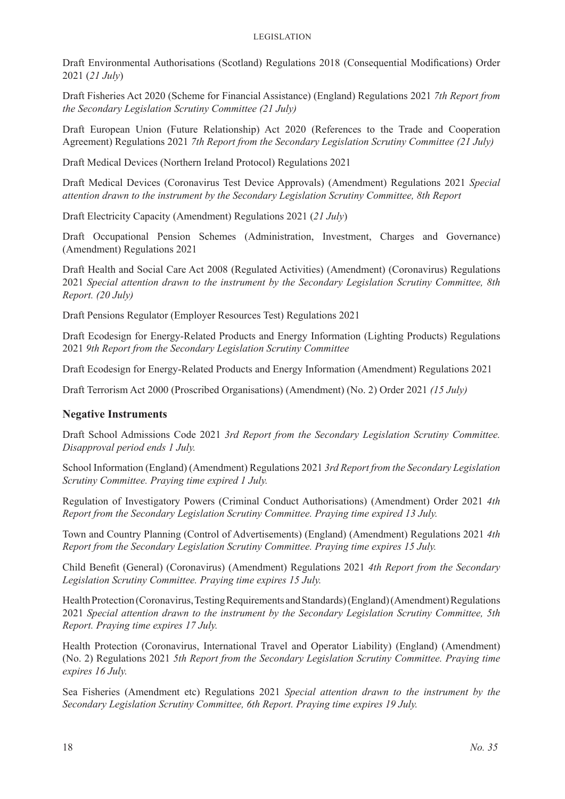Draft Environmental Authorisations (Scotland) Regulations 2018 (Consequential Modifications) Order 2021 (*21 July*)

Draft Fisheries Act 2020 (Scheme for Financial Assistance) (England) Regulations 2021 *7th Report from the Secondary Legislation Scrutiny Committee (21 July)*

Draft European Union (Future Relationship) Act 2020 (References to the Trade and Cooperation Agreement) Regulations 2021 *7th Report from the Secondary Legislation Scrutiny Committee (21 July)*

Draft Medical Devices (Northern Ireland Protocol) Regulations 2021

Draft Medical Devices (Coronavirus Test Device Approvals) (Amendment) Regulations 2021 *Special attention drawn to the instrument by the Secondary Legislation Scrutiny Committee, 8th Report*

Draft Electricity Capacity (Amendment) Regulations 2021 (*21 July*)

Draft Occupational Pension Schemes (Administration, Investment, Charges and Governance) (Amendment) Regulations 2021

Draft Health and Social Care Act 2008 (Regulated Activities) (Amendment) (Coronavirus) Regulations 2021 *Special attention drawn to the instrument by the Secondary Legislation Scrutiny Committee, 8th Report. (20 July)*

Draft Pensions Regulator (Employer Resources Test) Regulations 2021

Draft Ecodesign for Energy-Related Products and Energy Information (Lighting Products) Regulations 2021 *9th Report from the Secondary Legislation Scrutiny Committee*

Draft Ecodesign for Energy-Related Products and Energy Information (Amendment) Regulations 2021

Draft Terrorism Act 2000 (Proscribed Organisations) (Amendment) (No. 2) Order 2021 *(15 July)*

#### **Negative Instruments**

Draft School Admissions Code 2021 *3rd Report from the Secondary Legislation Scrutiny Committee. Disapproval period ends 1 July.*

School Information (England) (Amendment) Regulations 2021 *3rd Report from the Secondary Legislation Scrutiny Committee. Praying time expired 1 July.*

Regulation of Investigatory Powers (Criminal Conduct Authorisations) (Amendment) Order 2021 *4th Report from the Secondary Legislation Scrutiny Committee. Praying time expired 13 July.*

Town and Country Planning (Control of Advertisements) (England) (Amendment) Regulations 2021 *4th Report from the Secondary Legislation Scrutiny Committee. Praying time expires 15 July.*

Child Benefit (General) (Coronavirus) (Amendment) Regulations 2021 *4th Report from the Secondary Legislation Scrutiny Committee. Praying time expires 15 July.*

Health Protection (Coronavirus, Testing Requirements and Standards) (England) (Amendment) Regulations 2021 *Special attention drawn to the instrument by the Secondary Legislation Scrutiny Committee, 5th Report. Praying time expires 17 July.*

Health Protection (Coronavirus, International Travel and Operator Liability) (England) (Amendment) (No. 2) Regulations 2021 *5th Report from the Secondary Legislation Scrutiny Committee. Praying time expires 16 July.*

Sea Fisheries (Amendment etc) Regulations 2021 *Special attention drawn to the instrument by the Secondary Legislation Scrutiny Committee, 6th Report. Praying time expires 19 July.*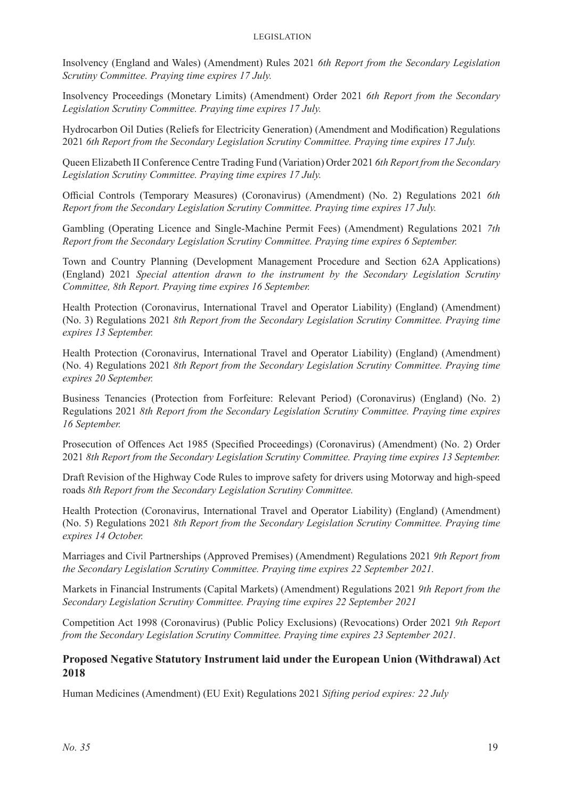Insolvency (England and Wales) (Amendment) Rules 2021 *6th Report from the Secondary Legislation Scrutiny Committee. Praying time expires 17 July.*

Insolvency Proceedings (Monetary Limits) (Amendment) Order 2021 *6th Report from the Secondary Legislation Scrutiny Committee. Praying time expires 17 July.*

Hydrocarbon Oil Duties (Reliefs for Electricity Generation) (Amendment and Modification) Regulations 2021 *6th Report from the Secondary Legislation Scrutiny Committee. Praying time expires 17 July.*

Queen Elizabeth II Conference Centre Trading Fund (Variation) Order 2021 *6th Report from the Secondary Legislation Scrutiny Committee. Praying time expires 17 July.*

Official Controls (Temporary Measures) (Coronavirus) (Amendment) (No. 2) Regulations 2021 *6th Report from the Secondary Legislation Scrutiny Committee. Praying time expires 17 July.*

Gambling (Operating Licence and Single-Machine Permit Fees) (Amendment) Regulations 2021 *7th Report from the Secondary Legislation Scrutiny Committee. Praying time expires 6 September.*

Town and Country Planning (Development Management Procedure and Section 62A Applications) (England) 2021 *Special attention drawn to the instrument by the Secondary Legislation Scrutiny Committee, 8th Report. Praying time expires 16 September.*

Health Protection (Coronavirus, International Travel and Operator Liability) (England) (Amendment) (No. 3) Regulations 2021 *8th Report from the Secondary Legislation Scrutiny Committee. Praying time expires 13 September.*

Health Protection (Coronavirus, International Travel and Operator Liability) (England) (Amendment) (No. 4) Regulations 2021 *8th Report from the Secondary Legislation Scrutiny Committee. Praying time expires 20 September.*

Business Tenancies (Protection from Forfeiture: Relevant Period) (Coronavirus) (England) (No. 2) Regulations 2021 *8th Report from the Secondary Legislation Scrutiny Committee. Praying time expires 16 September.*

Prosecution of Offences Act 1985 (Specified Proceedings) (Coronavirus) (Amendment) (No. 2) Order 2021 *8th Report from the Secondary Legislation Scrutiny Committee. Praying time expires 13 September.*

Draft Revision of the Highway Code Rules to improve safety for drivers using Motorway and high-speed roads *8th Report from the Secondary Legislation Scrutiny Committee.*

Health Protection (Coronavirus, International Travel and Operator Liability) (England) (Amendment) (No. 5) Regulations 2021 *8th Report from the Secondary Legislation Scrutiny Committee. Praying time expires 14 October.*

Marriages and Civil Partnerships (Approved Premises) (Amendment) Regulations 2021 *9th Report from the Secondary Legislation Scrutiny Committee. Praying time expires 22 September 2021.*

Markets in Financial Instruments (Capital Markets) (Amendment) Regulations 2021 *9th Report from the Secondary Legislation Scrutiny Committee. Praying time expires 22 September 2021*

Competition Act 1998 (Coronavirus) (Public Policy Exclusions) (Revocations) Order 2021 *9th Report from the Secondary Legislation Scrutiny Committee. Praying time expires 23 September 2021.*

#### **Proposed Negative Statutory Instrument laid under the European Union (Withdrawal) Act 2018**

Human Medicines (Amendment) (EU Exit) Regulations 2021 *Sifting period expires: 22 July*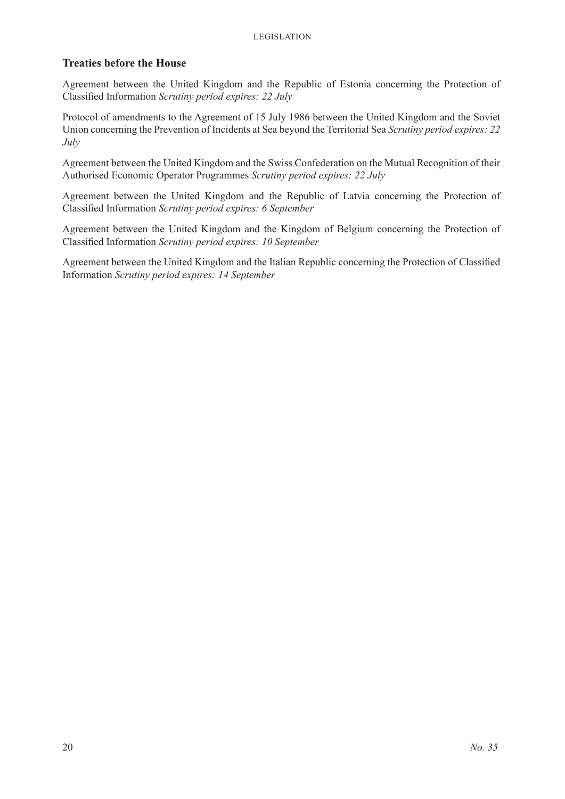#### **Treaties before the House**

Agreement between the United Kingdom and the Republic of Estonia concerning the Protection of Classified Information *Scrutiny period expires: 22 July*

Protocol of amendments to the Agreement of 15 July 1986 between the United Kingdom and the Soviet Union concerning the Prevention of Incidents at Sea beyond the Territorial Sea *Scrutiny period expires: 22 July*

Agreement between the United Kingdom and the Swiss Confederation on the Mutual Recognition of their Authorised Economic Operator Programmes *Scrutiny period expires: 22 July*

Agreement between the United Kingdom and the Republic of Latvia concerning the Protection of Classified Information *Scrutiny period expires: 6 September*

Agreement between the United Kingdom and the Kingdom of Belgium concerning the Protection of Classified Information *Scrutiny period expires: 10 September*

Agreement between the United Kingdom and the Italian Republic concerning the Protection of Classified Information *Scrutiny period expires: 14 September*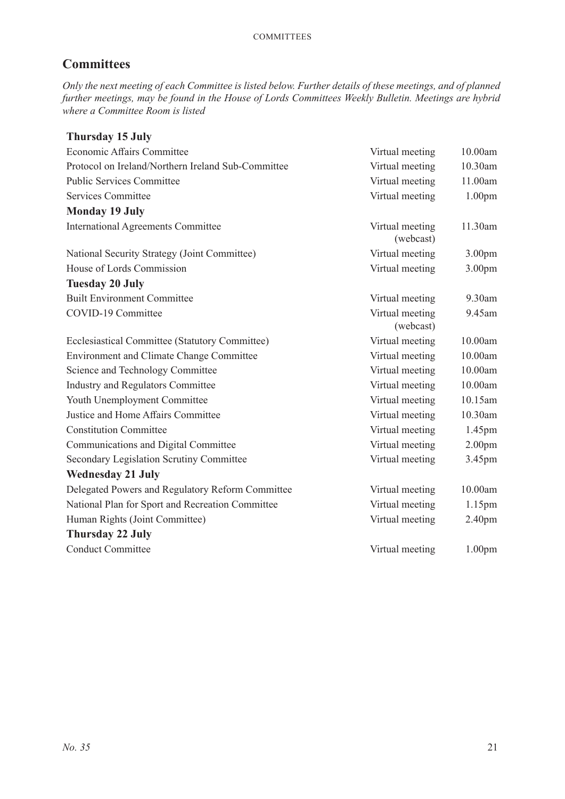# **Committees**

*Only the next meeting of each Committee is listed below. Further details of these meetings, and of planned further meetings, may be found in the House of Lords Committees Weekly Bulletin. Meetings are hybrid where a Committee Room is listed*

| <b>Thursday 15 July</b>                            |                              |                    |
|----------------------------------------------------|------------------------------|--------------------|
| Economic Affairs Committee                         | Virtual meeting              | 10.00am            |
| Protocol on Ireland/Northern Ireland Sub-Committee | Virtual meeting              | 10.30am            |
| <b>Public Services Committee</b>                   | Virtual meeting              | 11.00am            |
| Services Committee                                 | Virtual meeting              | 1.00 <sub>pm</sub> |
| <b>Monday 19 July</b>                              |                              |                    |
| <b>International Agreements Committee</b>          | Virtual meeting<br>(webcast) | 11.30am            |
| National Security Strategy (Joint Committee)       | Virtual meeting              | 3.00 <sub>pm</sub> |
| House of Lords Commission                          | Virtual meeting              | 3.00 <sub>pm</sub> |
| <b>Tuesday 20 July</b>                             |                              |                    |
| <b>Built Environment Committee</b>                 | Virtual meeting              | 9.30am             |
| COVID-19 Committee                                 | Virtual meeting<br>(webcast) | 9.45am             |
| Ecclesiastical Committee (Statutory Committee)     | Virtual meeting              | 10.00am            |
| <b>Environment and Climate Change Committee</b>    | Virtual meeting              | 10.00am            |
| Science and Technology Committee                   | Virtual meeting              | 10.00am            |
| <b>Industry and Regulators Committee</b>           | Virtual meeting              | 10.00am            |
| Youth Unemployment Committee                       | Virtual meeting              | 10.15am            |
| Justice and Home Affairs Committee                 | Virtual meeting              | 10.30am            |
| <b>Constitution Committee</b>                      | Virtual meeting              | 1.45pm             |
| Communications and Digital Committee               | Virtual meeting              | 2.00 <sub>pm</sub> |
| Secondary Legislation Scrutiny Committee           | Virtual meeting              | 3.45pm             |
| <b>Wednesday 21 July</b>                           |                              |                    |
| Delegated Powers and Regulatory Reform Committee   | Virtual meeting              | 10.00am            |
| National Plan for Sport and Recreation Committee   | Virtual meeting              | 1.15pm             |
| Human Rights (Joint Committee)                     | Virtual meeting              | 2.40 <sub>pm</sub> |
| <b>Thursday 22 July</b>                            |                              |                    |
| <b>Conduct Committee</b>                           | Virtual meeting              | 1.00 <sub>pm</sub> |
|                                                    |                              |                    |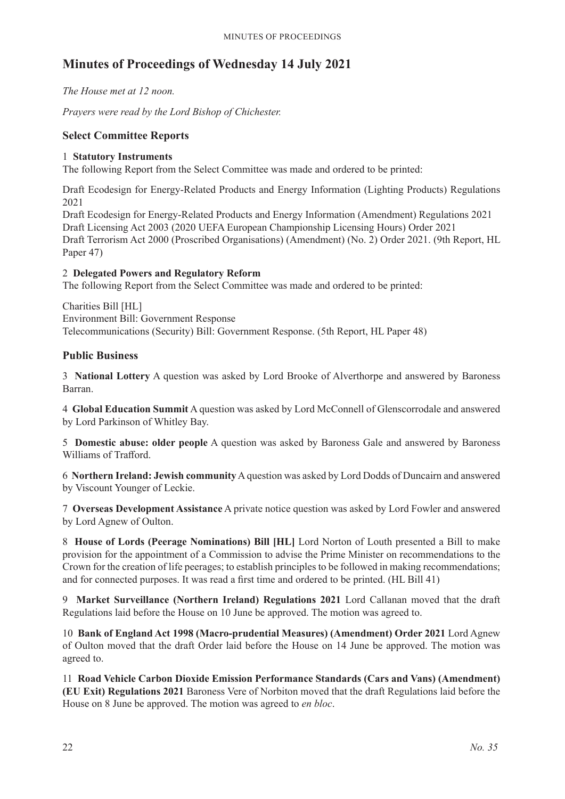# **Minutes of Proceedings of Wednesday 14 July 2021**

*The House met at 12 noon.*

*Prayers were read by the Lord Bishop of Chichester.*

#### **Select Committee Reports**

#### 1 **Statutory Instruments**

The following Report from the Select Committee was made and ordered to be printed:

Draft Ecodesign for Energy-Related Products and Energy Information (Lighting Products) Regulations 2021

Draft Ecodesign for Energy-Related Products and Energy Information (Amendment) Regulations 2021 Draft Licensing Act 2003 (2020 UEFA European Championship Licensing Hours) Order 2021 Draft Terrorism Act 2000 (Proscribed Organisations) (Amendment) (No. 2) Order 2021. (9th Report, HL Paper 47)

#### 2 **Delegated Powers and Regulatory Reform**

The following Report from the Select Committee was made and ordered to be printed:

Charities Bill [HL] Environment Bill: Government Response Telecommunications (Security) Bill: Government Response. (5th Report, HL Paper 48)

## **Public Business**

3 **National Lottery** A question was asked by Lord Brooke of Alverthorpe and answered by Baroness Barran.

4 **Global Education Summit** A question was asked by Lord McConnell of Glenscorrodale and answered by Lord Parkinson of Whitley Bay.

5 **Domestic abuse: older people** A question was asked by Baroness Gale and answered by Baroness Williams of Trafford.

6 **Northern Ireland: Jewish community**A question was asked by Lord Dodds of Duncairn and answered by Viscount Younger of Leckie.

7 **Overseas Development Assistance** A private notice question was asked by Lord Fowler and answered by Lord Agnew of Oulton.

8 **House of Lords (Peerage Nominations) Bill [HL]** Lord Norton of Louth presented a Bill to make provision for the appointment of a Commission to advise the Prime Minister on recommendations to the Crown for the creation of life peerages; to establish principles to be followed in making recommendations; and for connected purposes. It was read a first time and ordered to be printed. (HL Bill 41)

9 **Market Surveillance (Northern Ireland) Regulations 2021** Lord Callanan moved that the draft Regulations laid before the House on 10 June be approved. The motion was agreed to.

10 **Bank of England Act 1998 (Macro-prudential Measures) (Amendment) Order 2021** Lord Agnew of Oulton moved that the draft Order laid before the House on 14 June be approved. The motion was agreed to.

11 **Road Vehicle Carbon Dioxide Emission Performance Standards (Cars and Vans) (Amendment) (EU Exit) Regulations 2021** Baroness Vere of Norbiton moved that the draft Regulations laid before the House on 8 June be approved. The motion was agreed to *en bloc*.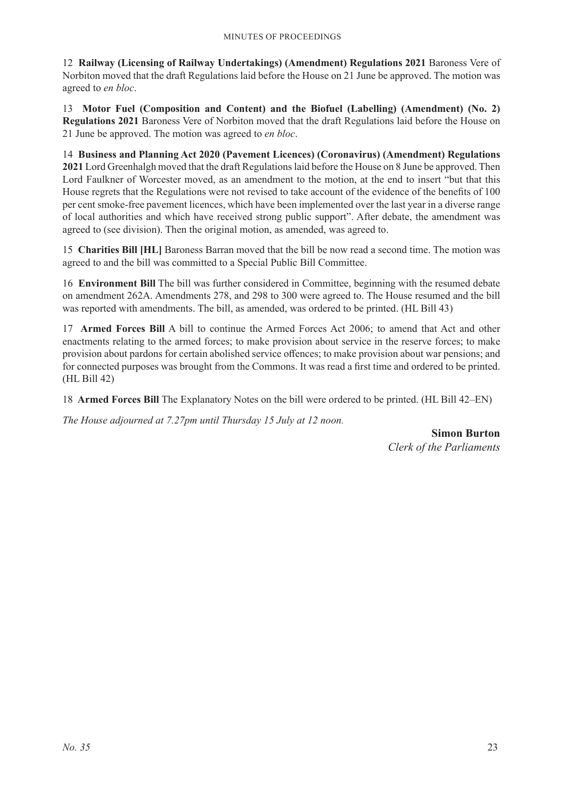12 **Railway (Licensing of Railway Undertakings) (Amendment) Regulations 2021** Baroness Vere of Norbiton moved that the draft Regulations laid before the House on 21 June be approved. The motion was agreed to *en bloc*.

13 **Motor Fuel (Composition and Content) and the Biofuel (Labelling) (Amendment) (No. 2) Regulations 2021** Baroness Vere of Norbiton moved that the draft Regulations laid before the House on 21 June be approved. The motion was agreed to *en bloc*.

14 **Business and Planning Act 2020 (Pavement Licences) (Coronavirus) (Amendment) Regulations 2021** Lord Greenhalgh moved that the draft Regulations laid before the House on 8 June be approved. Then Lord Faulkner of Worcester moved, as an amendment to the motion, at the end to insert "but that this House regrets that the Regulations were not revised to take account of the evidence of the benefits of 100 per cent smoke-free pavement licences, which have been implemented over the last year in a diverse range of local authorities and which have received strong public support". After debate, the amendment was agreed to (see division). Then the original motion, as amended, was agreed to.

15 **Charities Bill [HL]** Baroness Barran moved that the bill be now read a second time. The motion was agreed to and the bill was committed to a Special Public Bill Committee.

16 **Environment Bill** The bill was further considered in Committee, beginning with the resumed debate on amendment 262A. Amendments 278, and 298 to 300 were agreed to. The House resumed and the bill was reported with amendments. The bill, as amended, was ordered to be printed. (HL Bill 43)

17 **Armed Forces Bill** A bill to continue the Armed Forces Act 2006; to amend that Act and other enactments relating to the armed forces; to make provision about service in the reserve forces; to make provision about pardons for certain abolished service offences; to make provision about war pensions; and for connected purposes was brought from the Commons. It was read a first time and ordered to be printed. (HL Bill 42)

18 **Armed Forces Bill** The Explanatory Notes on the bill were ordered to be printed. (HL Bill 42–EN)

*The House adjourned at 7.27pm until Thursday 15 July at 12 noon.*

**Simon Burton** *Clerk of the Parliaments*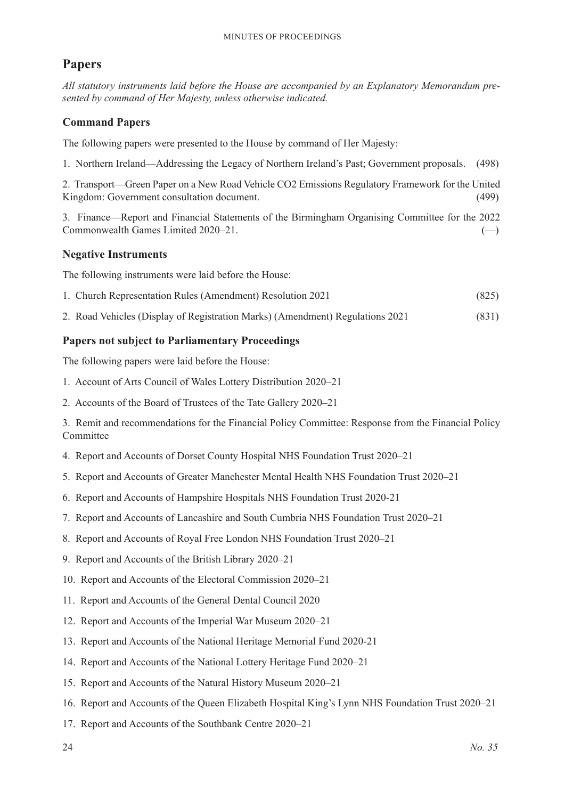# **Papers**

*All statutory instruments laid before the House are accompanied by an Explanatory Memorandum presented by command of Her Majesty, unless otherwise indicated.*

# **Command Papers**

The following papers were presented to the House by command of Her Majesty:

1. Northern Ireland—Addressing the Legacy of Northern Ireland's Past; Government proposals. (498)

2. Transport—Green Paper on a New Road Vehicle CO2 Emissions Regulatory Framework for the United Kingdom: Government consultation document. (499)

3. Finance—Report and Financial Statements of the Birmingham Organising Committee for the 2022  $Commonwealth Games Limited 2020–21.$  (--)

# **Negative Instruments**

The following instruments were laid before the House:

- 1. Church Representation Rules (Amendment) Resolution 2021 (825)
- 2. Road Vehicles (Display of Registration Marks) (Amendment) Regulations 2021 (831)

# **Papers not subject to Parliamentary Proceedings**

The following papers were laid before the House:

- 1. Account of Arts Council of Wales Lottery Distribution 2020–21
- 2. Accounts of the Board of Trustees of the Tate Gallery 2020–21

3. Remit and recommendations for the Financial Policy Committee: Response from the Financial Policy Committee

- 4. Report and Accounts of Dorset County Hospital NHS Foundation Trust 2020–21
- 5. Report and Accounts of Greater Manchester Mental Health NHS Foundation Trust 2020–21
- 6. Report and Accounts of Hampshire Hospitals NHS Foundation Trust 2020-21
- 7. Report and Accounts of Lancashire and South Cumbria NHS Foundation Trust 2020–21
- 8. Report and Accounts of Royal Free London NHS Foundation Trust 2020–21
- 9. Report and Accounts of the British Library 2020–21
- 10. Report and Accounts of the Electoral Commission 2020–21
- 11. Report and Accounts of the General Dental Council 2020
- 12. Report and Accounts of the Imperial War Museum 2020–21
- 13. Report and Accounts of the National Heritage Memorial Fund 2020-21
- 14. Report and Accounts of the National Lottery Heritage Fund 2020–21
- 15. Report and Accounts of the Natural History Museum 2020–21
- 16. Report and Accounts of the Queen Elizabeth Hospital King's Lynn NHS Foundation Trust 2020–21
- 17. Report and Accounts of the Southbank Centre 2020–21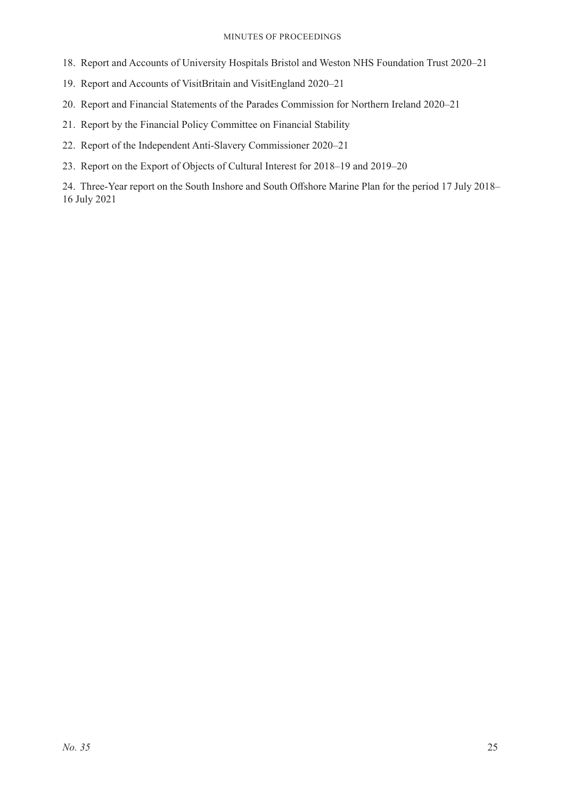#### Minutes of Proceedings

- 18. Report and Accounts of University Hospitals Bristol and Weston NHS Foundation Trust 2020–21
- 19. Report and Accounts of VisitBritain and VisitEngland 2020–21
- 20. Report and Financial Statements of the Parades Commission for Northern Ireland 2020–21
- 21. Report by the Financial Policy Committee on Financial Stability
- 22. Report of the Independent Anti-Slavery Commissioner 2020–21
- 23. Report on the Export of Objects of Cultural Interest for 2018–19 and 2019–20

24. Three-Year report on the South Inshore and South Offshore Marine Plan for the period 17 July 2018– 16 July 2021